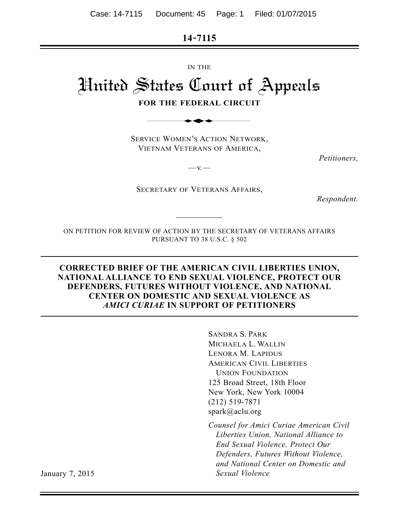**14-7115**

IN THE

# United States Court of Appeals IN THE<br>
States (Toutt of<br>
DR THE FEDERAL CIRCU<br>
THE FEDERAL CIRCU<br>
THE WOMEN'S ACTION NETW

**FOR THE FEDERAL CIRCUIT**

SERVICE WOMEN'S ACTION NETWORK, VIETNAM VETERANS OF AMERICA,

*Petitioners,*

 $-v.$ 

SECRETARY OF VETERANS AFFAIRS,

*Respondent.*

ON PETITION FOR REVIEW OF ACTION BY THE SECRETARY OF VETERANS AFFAIRS PURSUANT TO 38 U.S.C. § 502

#### **CORRECTED BRIEF OF THE AMERICAN CIVIL LIBERTIES UNION, NATIONAL ALLIANCE TO END SEXUAL VIOLENCE, PROTECT OUR DEFENDERS, FUTURES WITHOUT VIOLENCE, AND NATIONAL CENTER ON DOMESTIC AND SEXUAL VIOLENCE AS** *AMICI CURIAE* **IN SUPPORT OF PETITIONERS**

SANDRA S. PARK MICHAELA L. WALLIN LENORA M. LAPIDUS AMERICAN CIVIL LIBERTIES UNION FOUNDATION 125 Broad Street, 18th Floor New York, New York 10004 (212) 519-7871 spark@aclu.org

*Counsel for Amici Curiae American Civil Liberties Union, National Alliance to End Sexual Violence, Protect Our Defenders, Futures Without Violence, and National Center on Domestic and* January 7, 2015 *Sexual Violence*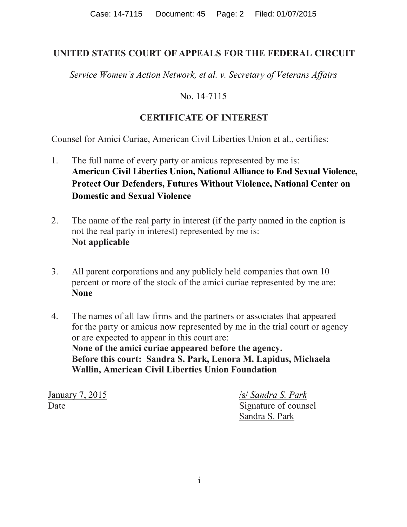## **UNITED STATES COURT OF APPEALS FOR THE FEDERAL CIRCUIT**

*Service Women's Action Network, et al. v. Secretary of Veterans Affairs*

# No. 14-7115

# **CERTIFICATE OF INTEREST**

Counsel for Amici Curiae, American Civil Liberties Union et al., certifies:

- 1. The full name of every party or amicus represented by me is: **American Civil Liberties Union, National Alliance to End Sexual Violence, Protect Our Defenders, Futures Without Violence, National Center on Domestic and Sexual Violence**
- 2. The name of the real party in interest (if the party named in the caption is not the real party in interest) represented by me is: **Not applicable**
- 3. All parent corporations and any publicly held companies that own 10 percent or more of the stock of the amici curiae represented by me are: **None**
- 4. The names of all law firms and the partners or associates that appeared for the party or amicus now represented by me in the trial court or agency or are expected to appear in this court are: **None of the amici curiae appeared before the agency. Before this court: Sandra S. Park, Lenora M. Lapidus, Michaela Wallin, American Civil Liberties Union Foundation**

January 7, 2015 /s/ *Sandra S. Park* Date Signature of counsel Sandra S. Park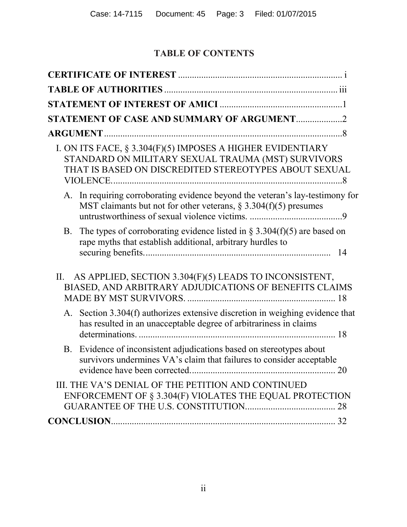# **TABLE OF CONTENTS**

| STATEMENT OF CASE AND SUMMARY OF ARGUMENT2                                                                                                                                |    |
|---------------------------------------------------------------------------------------------------------------------------------------------------------------------------|----|
| <b>ARGUMENT.</b>                                                                                                                                                          |    |
| I. ON ITS FACE, § 3.304(F)(5) IMPOSES A HIGHER EVIDENTIARY<br>STANDARD ON MILITARY SEXUAL TRAUMA (MST) SURVIVORS<br>THAT IS BASED ON DISCREDITED STEREOTYPES ABOUT SEXUAL |    |
| A. In requiring corroborating evidence beyond the veteran's lay-testimony for<br>MST claimants but not for other veterans, $\S$ 3.304(f)(5) presumes                      |    |
| The types of corroborating evidence listed in $\S 3.304(f)(5)$ are based on<br><b>B.</b><br>rape myths that establish additional, arbitrary hurdles to                    | 14 |
| AS APPLIED, SECTION 3.304(F)(5) LEADS TO INCONSISTENT,<br>$\Pi$ .<br>BIASED, AND ARBITRARY ADJUDICATIONS OF BENEFITS CLAIMS                                               |    |
| Section 3.304(f) authorizes extensive discretion in weighing evidence that<br>A.<br>has resulted in an unacceptable degree of arbitrariness in claims                     |    |
| B. Evidence of inconsistent adjudications based on stereotypes about<br>survivors undermines VA's claim that failures to consider acceptable                              |    |
| III. THE VA'S DENIAL OF THE PETITION AND CONTINUED<br>ENFORCEMENT OF § 3.304(F) VIOLATES THE EQUAL PROTECTION                                                             |    |
|                                                                                                                                                                           |    |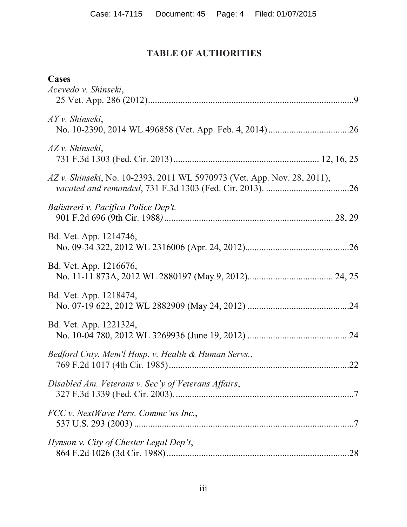# **TABLE OF AUTHORITIES**

<span id="page-3-0"></span>

| Cases<br>Acevedo v. Shinseki,                                           |  |
|-------------------------------------------------------------------------|--|
| $AYv.$ Shinseki,                                                        |  |
| AZ v. Shinseki,                                                         |  |
| AZ v. Shinseki, No. 10-2393, 2011 WL 5970973 (Vet. App. Nov. 28, 2011), |  |
| Balistreri v. Pacifica Police Dep't,                                    |  |
| Bd. Vet. App. 1214746,                                                  |  |
| Bd. Vet. App. 1216676,                                                  |  |
| Bd. Vet. App. 1218474,                                                  |  |
| Bd. Vet. App. 1221324,                                                  |  |
| Bedford Cnty. Mem'l Hosp. v. Health & Human Servs.,                     |  |
| Disabled Am. Veterans v. Sec'y of Veterans Affairs,                     |  |
| FCC v. NextWave Pers. Commc'ns Inc.,                                    |  |
| Hynson v. City of Chester Legal Dep't,                                  |  |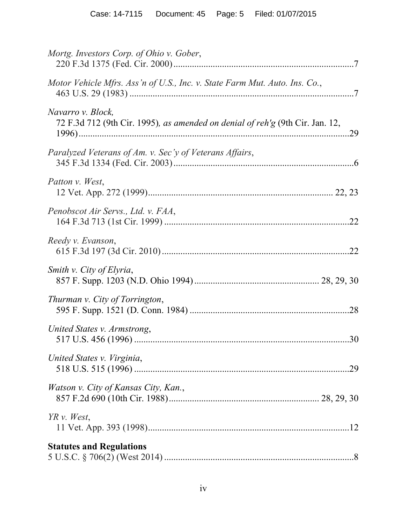| Mortg. Investors Corp. of Ohio v. Gober,                                                           |  |
|----------------------------------------------------------------------------------------------------|--|
| Motor Vehicle Mfrs. Ass'n of U.S., Inc. v. State Farm Mut. Auto. Ins. Co.,                         |  |
| Navarro v. Block,<br>72 F.3d 712 (9th Cir. 1995), as amended on denial of reh'g (9th Cir. Jan. 12, |  |
| Paralyzed Veterans of Am. v. Sec'y of Veterans Affairs,                                            |  |
| Patton v. West,                                                                                    |  |
| Penobscot Air Servs., Ltd. v. FAA,                                                                 |  |
| Reedy v. Evanson,                                                                                  |  |
| Smith v. City of Elyria,                                                                           |  |
| Thurman v. City of Torrington,                                                                     |  |
| United States v. Armstrong,                                                                        |  |
| United States v. Virginia,                                                                         |  |
| Watson v. City of Kansas City, Kan.,                                                               |  |
| $YR$ v. West,                                                                                      |  |
| <b>Statutes and Regulations</b>                                                                    |  |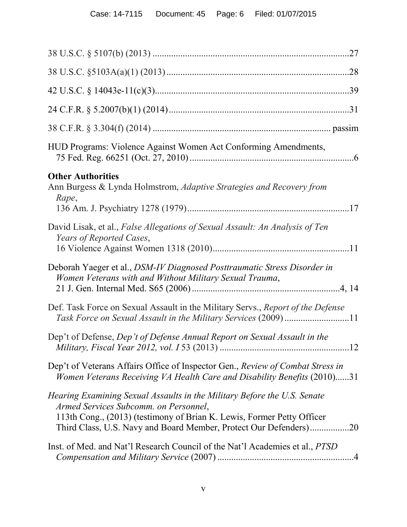| .27                                                                                                                                                                                                                                                              |
|------------------------------------------------------------------------------------------------------------------------------------------------------------------------------------------------------------------------------------------------------------------|
|                                                                                                                                                                                                                                                                  |
|                                                                                                                                                                                                                                                                  |
|                                                                                                                                                                                                                                                                  |
|                                                                                                                                                                                                                                                                  |
| HUD Programs: Violence Against Women Act Conforming Amendments,                                                                                                                                                                                                  |
| <b>Other Authorities</b><br>Ann Burgess & Lynda Holmstrom, Adaptive Strategies and Recovery from<br>Rape,                                                                                                                                                        |
| David Lisak, et al., False Allegations of Sexual Assault: An Analysis of Ten<br>Years of Reported Cases,                                                                                                                                                         |
| Deborah Yaeger et al., DSM-IV Diagnosed Posttraumatic Stress Disorder in<br>Women Veterans with and Without Military Sexual Trauma,                                                                                                                              |
| Def. Task Force on Sexual Assault in the Military Servs., Report of the Defense<br>Task Force on Sexual Assault in the Military Services (2009)11                                                                                                                |
| Dep't of Defense, Dep't of Defense Annual Report on Sexual Assault in the                                                                                                                                                                                        |
| Dep't of Veterans Affairs Office of Inspector Gen., Review of Combat Stress in<br>Women Veterans Receiving VA Health Care and Disability Benefits (2010)31                                                                                                       |
| Hearing Examining Sexual Assaults in the Military Before the U.S. Senate<br>Armed Services Subcomm. on Personnel,<br>113th Cong., (2013) (testimony of Brian K. Lewis, Former Petty Officer<br>Third Class, U.S. Navy and Board Member, Protect Our Defenders)20 |
| Inst. of Med. and Nat'l Research Council of the Nat'l Academies et al., <i>PTSD</i>                                                                                                                                                                              |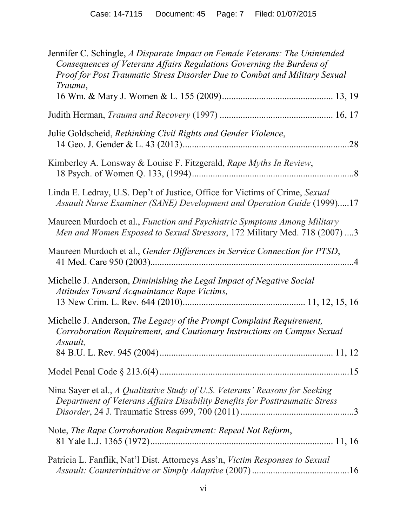| Jennifer C. Schingle, A Disparate Impact on Female Veterans: The Unintended<br>Consequences of Veterans Affairs Regulations Governing the Burdens of<br>Proof for Post Traumatic Stress Disorder Due to Combat and Military Sexual<br>Trauma, |
|-----------------------------------------------------------------------------------------------------------------------------------------------------------------------------------------------------------------------------------------------|
|                                                                                                                                                                                                                                               |
| Julie Goldscheid, Rethinking Civil Rights and Gender Violence,<br>.28                                                                                                                                                                         |
| Kimberley A. Lonsway & Louise F. Fitzgerald, Rape Myths In Review,                                                                                                                                                                            |
| Linda E. Ledray, U.S. Dep't of Justice, Office for Victims of Crime, Sexual<br>Assault Nurse Examiner (SANE) Development and Operation Guide (1999)17                                                                                         |
| Maureen Murdoch et al., Function and Psychiatric Symptoms Among Military<br>Men and Women Exposed to Sexual Stressors, 172 Military Med. 718 (2007) 3                                                                                         |
| Maureen Murdoch et al., Gender Differences in Service Connection for PTSD,                                                                                                                                                                    |
| Michelle J. Anderson, Diminishing the Legal Impact of Negative Social<br>Attitudes Toward Acquaintance Rape Victims,                                                                                                                          |
| Michelle J. Anderson, The Legacy of the Prompt Complaint Requirement,<br>Corroboration Requirement, and Cautionary Instructions on Campus Sexual<br>Assault,                                                                                  |
|                                                                                                                                                                                                                                               |
| Nina Sayer et al., A Qualitative Study of U.S. Veterans' Reasons for Seeking<br>Department of Veterans Affairs Disability Benefits for Posttraumatic Stress                                                                                   |
| Note, The Rape Corroboration Requirement: Repeal Not Reform,                                                                                                                                                                                  |
| Patricia L. Fanflik, Nat'l Dist. Attorneys Ass'n, Victim Responses to Sexual                                                                                                                                                                  |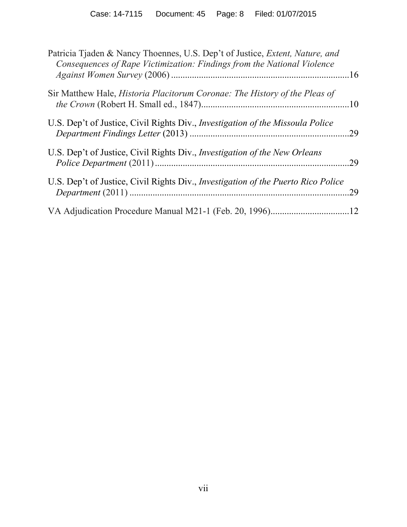| Patricia Tjaden & Nancy Thoennes, U.S. Dep't of Justice, <i>Extent, Nature, and</i><br>Consequences of Rape Victimization: Findings from the National Violence |    |
|----------------------------------------------------------------------------------------------------------------------------------------------------------------|----|
| Sir Matthew Hale, <i>Historia Placitorum Coronae: The History of the Pleas of</i>                                                                              |    |
| U.S. Dep't of Justice, Civil Rights Div., <i>Investigation of the Missoula Police</i>                                                                          | 29 |
| U.S. Dep't of Justice, Civil Rights Div., <i>Investigation of the New Orleans</i>                                                                              | 29 |
| U.S. Dep't of Justice, Civil Rights Div., <i>Investigation of the Puerto Rico Police</i>                                                                       | 29 |
| VA Adjudication Procedure Manual M21-1 (Feb. 20, 1996)12                                                                                                       |    |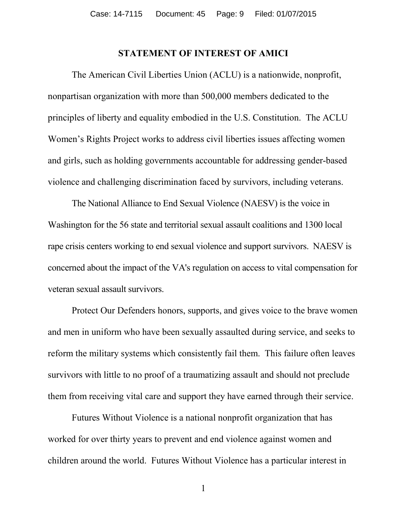#### **STATEMENT OF INTEREST OF AMICI**

<span id="page-8-0"></span>The American Civil Liberties Union (ACLU) is a nationwide, nonprofit, nonpartisan organization with more than 500,000 members dedicated to the principles of liberty and equality embodied in the U.S. Constitution. The ACLU Women's Rights Project works to address civil liberties issues affecting women and girls, such as holding governments accountable for addressing gender-based violence and challenging discrimination faced by survivors, including veterans.

The National Alliance to End Sexual Violence (NAESV) is the voice in Washington for the 56 state and territorial sexual assault coalitions and 1300 local rape crisis centers working to end sexual violence and support survivors. NAESV is concerned about the impact of the VA's regulation on access to vital compensation for veteran sexual assault survivors.

Protect Our Defenders honors, supports, and gives voice to the brave women and men in uniform who have been sexually assaulted during service, and seeks to reform the military systems which consistently fail them. This failure often leaves survivors with little to no proof of a traumatizing assault and should not preclude them from receiving vital care and support they have earned through their service.

Futures Without Violence is a national nonprofit organization that has worked for over thirty years to prevent and end violence against women and children around the world. Futures Without Violence has a particular interest in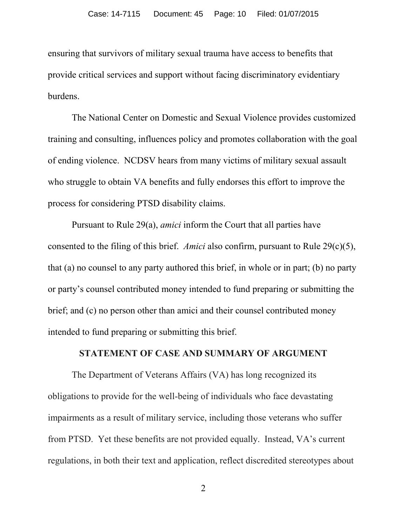ensuring that survivors of military sexual trauma have access to benefits that provide critical services and support without facing discriminatory evidentiary burdens.

The National Center on Domestic and Sexual Violence provides customized training and consulting, influences policy and promotes collaboration with the goal of ending violence. NCDSV hears from many victims of military sexual assault who struggle to obtain VA benefits and fully endorses this effort to improve the process for considering PTSD disability claims.

Pursuant to Rule 29(a), *amici* inform the Court that all parties have consented to the filing of this brief. *Amici* also confirm, pursuant to Rule 29(c)(5), that (a) no counsel to any party authored this brief, in whole or in part; (b) no party or party's counsel contributed money intended to fund preparing or submitting the brief; and (c) no person other than amici and their counsel contributed money intended to fund preparing or submitting this brief.

#### **STATEMENT OF CASE AND SUMMARY OF ARGUMENT**

<span id="page-9-0"></span>The Department of Veterans Affairs (VA) has long recognized its obligations to provide for the well-being of individuals who face devastating impairments as a result of military service, including those veterans who suffer from PTSD. Yet these benefits are not provided equally. Instead, VA's current regulations, in both their text and application, reflect discredited stereotypes about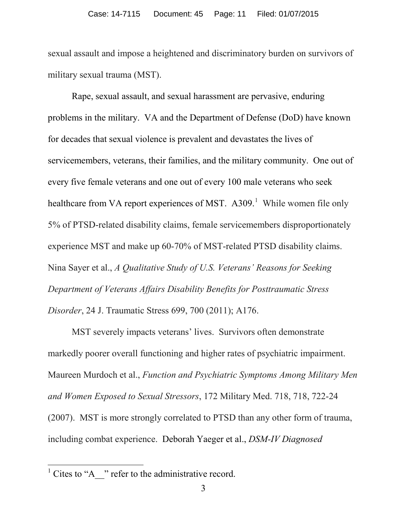sexual assault and impose a heightened and discriminatory burden on survivors of military sexual trauma (MST).

Rape, sexual assault, and sexual harassment are pervasive, enduring problems in the military. VA and the Department of Defense (DoD) have known for decades that sexual violence is prevalent and devastates the lives of servicemembers, veterans, their families, and the military community. One out of every five female veterans and one out of every 100 male veterans who seek healthcare from VA report experiences of MST.  $A309$ <sup>[1](#page-10-0)</sup> While women file only 5% of PTSD-related disability claims, female servicemembers disproportionately experience MST and make up 60-70% of MST-related PTSD disability claims. Nina Sayer et al., *A Qualitative Study of U.S. Veterans' Reasons for Seeking Department of Veterans Affairs Disability Benefits for Posttraumatic Stress Disorder*, 24 J. Traumatic Stress 699, 700 (2011); A176.

MST severely impacts veterans' lives. Survivors often demonstrate markedly poorer overall functioning and higher rates of psychiatric impairment. Maureen Murdoch et al., *Function and Psychiatric Symptoms Among Military Men and Women Exposed to Sexual Stressors*, 172 Military Med. 718, 718, 722-24 (2007). MST is more strongly correlated to PTSD than any other form of trauma, including combat experience. Deborah Yaeger et al., *DSM-IV Diagnosed* 

 $\overline{\phantom{a}}$ 

<span id="page-10-0"></span> $<sup>1</sup>$  Cites to "A\_\_" refer to the administrative record.</sup>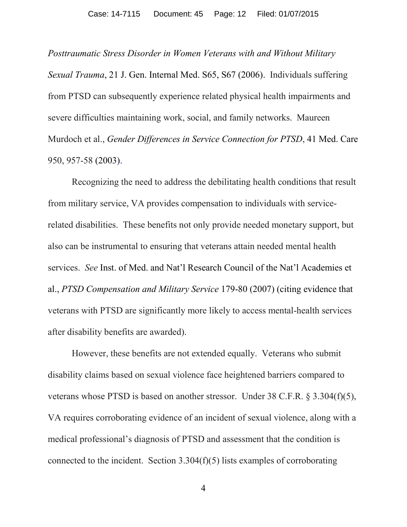*Posttraumatic Stress Disorder in Women Veterans with and Without Military Sexual Trauma*, 21 J. Gen. Internal Med. S65, S67 (2006). Individuals suffering from PTSD can subsequently experience related physical health impairments and severe difficulties maintaining work, social, and family networks. Maureen Murdoch et al., *Gender Differences in Service Connection for PTSD*, 41 Med. Care 950, 957-58 (2003).

Recognizing the need to address the debilitating health conditions that result from military service, VA provides compensation to individuals with servicerelated disabilities. These benefits not only provide needed monetary support, but also can be instrumental to ensuring that veterans attain needed mental health services. *See* Inst. of Med. and Nat'l Research Council of the Nat'l Academies et al., *PTSD Compensation and Military Service* 179-80 (2007) (citing evidence that veterans with PTSD are significantly more likely to access mental-health services after disability benefits are awarded).

However, these benefits are not extended equally. Veterans who submit disability claims based on sexual violence face heightened barriers compared to veterans whose PTSD is based on another stressor. Under 38 C.F.R. § 3.304(f)(5), VA requires corroborating evidence of an incident of sexual violence, along with a medical professional's diagnosis of PTSD and assessment that the condition is connected to the incident. Section 3.304(f)(5) lists examples of corroborating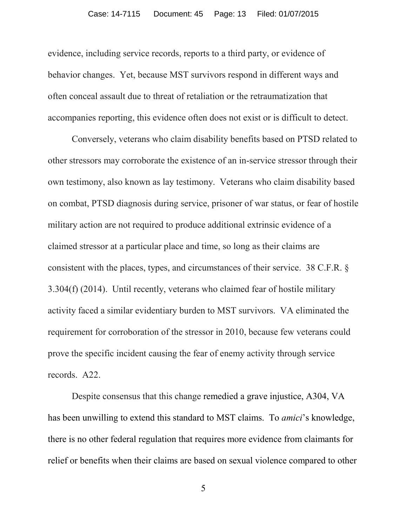evidence, including service records, reports to a third party, or evidence of behavior changes. Yet, because MST survivors respond in different ways and often conceal assault due to threat of retaliation or the retraumatization that accompanies reporting, this evidence often does not exist or is difficult to detect.

Conversely, veterans who claim disability benefits based on PTSD related to other stressors may corroborate the existence of an in-service stressor through their own testimony, also known as lay testimony. Veterans who claim disability based on combat, PTSD diagnosis during service, prisoner of war status, or fear of hostile military action are not required to produce additional extrinsic evidence of a claimed stressor at a particular place and time, so long as their claims are consistent with the places, types, and circumstances of their service. 38 C.F.R. § 3.304(f) (2014). Until recently, veterans who claimed fear of hostile military activity faced a similar evidentiary burden to MST survivors. VA eliminated the requirement for corroboration of the stressor in 2010, because few veterans could prove the specific incident causing the fear of enemy activity through service records. A22.

Despite consensus that this change remedied a grave injustice, A304, VA has been unwilling to extend this standard to MST claims. To *amici*'s knowledge, there is no other federal regulation that requires more evidence from claimants for relief or benefits when their claims are based on sexual violence compared to other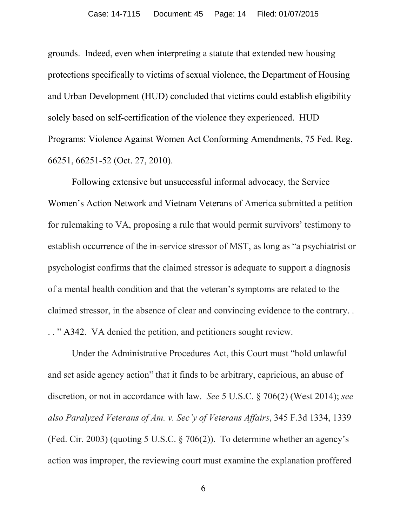grounds. Indeed, even when interpreting a statute that extended new housing protections specifically to victims of sexual violence, the Department of Housing and Urban Development (HUD) concluded that victims could establish eligibility solely based on self-certification of the violence they experienced. HUD Programs: Violence Against Women Act Conforming Amendments, 75 Fed. Reg. 66251, 66251-52 (Oct. 27, 2010).

Following extensive but unsuccessful informal advocacy, the Service Women's Action Network and Vietnam Veterans of America submitted a petition for rulemaking to VA, proposing a rule that would permit survivors' testimony to establish occurrence of the in-service stressor of MST, as long as "a psychiatrist or psychologist confirms that the claimed stressor is adequate to support a diagnosis of a mental health condition and that the veteran's symptoms are related to the claimed stressor, in the absence of clear and convincing evidence to the contrary. . . . " A342. VA denied the petition, and petitioners sought review.

Under the Administrative Procedures Act, this Court must "hold unlawful and set aside agency action" that it finds to be arbitrary, capricious, an abuse of discretion, or not in accordance with law. *See* 5 U.S.C. § 706(2) (West 2014); *see also Paralyzed Veterans of Am. v. Sec'y of Veterans Affairs*, 345 F.3d 1334, 1339 (Fed. Cir. 2003) (quoting 5 U.S.C. § 706(2)). To determine whether an agency's action was improper, the reviewing court must examine the explanation proffered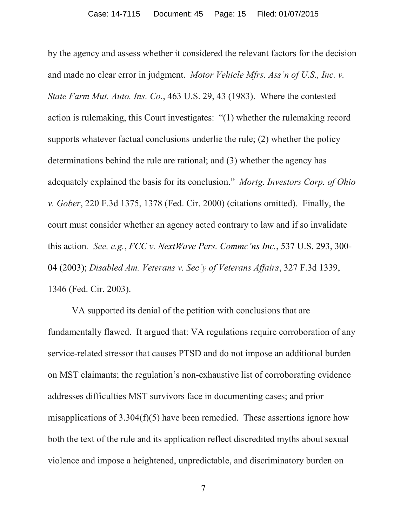by the agency and assess whether it considered the relevant factors for the decision and made no clear error in judgment. *Motor Vehicle Mfrs. Ass'n of U.S., Inc. v. State Farm Mut. Auto. Ins. Co.*, 463 U.S. 29, 43 (1983). Where the contested action is rulemaking, this Court investigates: "(1) whether the rulemaking record supports whatever factual conclusions underlie the rule; (2) whether the policy determinations behind the rule are rational; and (3) whether the agency has adequately explained the basis for its conclusion." *Mortg. Investors Corp. of Ohio v. Gober*, 220 F.3d 1375, 1378 (Fed. Cir. 2000) (citations omitted). Finally, the court must consider whether an agency acted contrary to law and if so invalidate this action*. See, e.g.*, *FCC v. NextWave Pers. Commc'ns Inc.*, 537 U.S. 293, 300- 04 (2003); *Disabled Am. Veterans v. Sec'y of Veterans Affairs*, 327 F.3d 1339, 1346 (Fed. Cir. 2003).

VA supported its denial of the petition with conclusions that are fundamentally flawed. It argued that: VA regulations require corroboration of any service-related stressor that causes PTSD and do not impose an additional burden on MST claimants; the regulation's non-exhaustive list of corroborating evidence addresses difficulties MST survivors face in documenting cases; and prior misapplications of 3.304(f)(5) have been remedied. These assertions ignore how both the text of the rule and its application reflect discredited myths about sexual violence and impose a heightened, unpredictable, and discriminatory burden on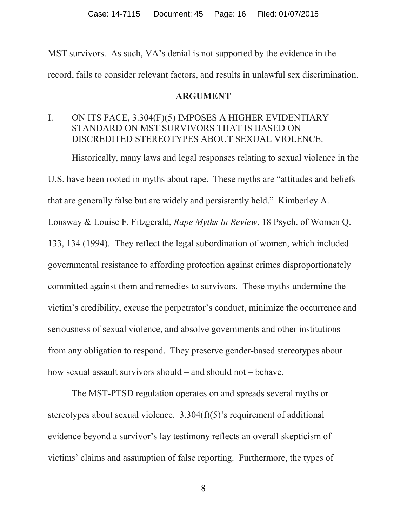MST survivors. As such, VA's denial is not supported by the evidence in the record, fails to consider relevant factors, and results in unlawful sex discrimination.

#### **ARGUMENT**

## <span id="page-15-1"></span><span id="page-15-0"></span>I. ON ITS FACE, 3.304(F)(5) IMPOSES A HIGHER EVIDENTIARY STANDARD ON MST SURVIVORS THAT IS BASED ON DISCREDITED STEREOTYPES ABOUT SEXUAL VIOLENCE.

Historically, many laws and legal responses relating to sexual violence in the U.S. have been rooted in myths about rape. These myths are "attitudes and beliefs that are generally false but are widely and persistently held." Kimberley A. Lonsway & Louise F. Fitzgerald, *Rape Myths In Review*, 18 Psych. of Women Q. 133, 134 (1994). They reflect the legal subordination of women, which included governmental resistance to affording protection against crimes disproportionately committed against them and remedies to survivors. These myths undermine the victim's credibility, excuse the perpetrator's conduct, minimize the occurrence and seriousness of sexual violence, and absolve governments and other institutions from any obligation to respond. They preserve gender-based stereotypes about how sexual assault survivors should – and should not – behave.

The MST-PTSD regulation operates on and spreads several myths or stereotypes about sexual violence. 3.304(f)(5)'s requirement of additional evidence beyond a survivor's lay testimony reflects an overall skepticism of victims' claims and assumption of false reporting. Furthermore, the types of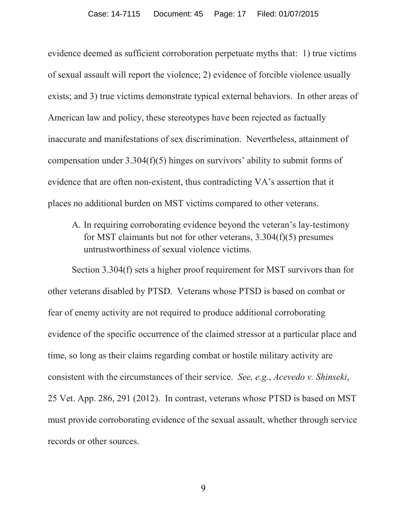evidence deemed as sufficient corroboration perpetuate myths that: 1) true victims of sexual assault will report the violence; 2) evidence of forcible violence usually exists; and 3) true victims demonstrate typical external behaviors. In other areas of American law and policy, these stereotypes have been rejected as factually inaccurate and manifestations of sex discrimination. Nevertheless, attainment of compensation under 3.304(f)(5) hinges on survivors' ability to submit forms of evidence that are often non-existent, thus contradicting VA's assertion that it places no additional burden on MST victims compared to other veterans.

<span id="page-16-0"></span>A. In requiring corroborating evidence beyond the veteran's lay-testimony for MST claimants but not for other veterans, 3.304(f)(5) presumes untrustworthiness of sexual violence victims.

Section 3.304(f) sets a higher proof requirement for MST survivors than for other veterans disabled by PTSD. Veterans whose PTSD is based on combat or fear of enemy activity are not required to produce additional corroborating evidence of the specific occurrence of the claimed stressor at a particular place and time, so long as their claims regarding combat or hostile military activity are consistent with the circumstances of their service. *See, e.g.*, *Acevedo v. Shinseki*, 25 Vet. App. 286, 291 (2012). In contrast, veterans whose PTSD is based on MST must provide corroborating evidence of the sexual assault, whether through service records or other sources.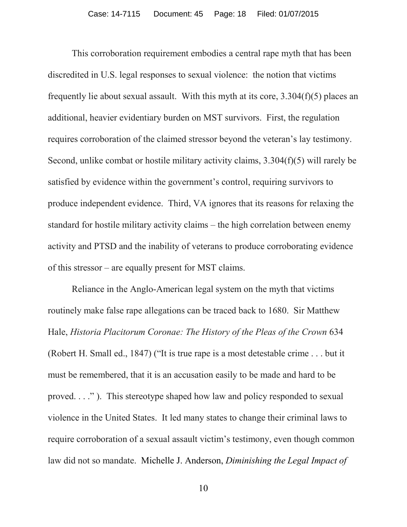This corroboration requirement embodies a central rape myth that has been discredited in U.S. legal responses to sexual violence: the notion that victims frequently lie about sexual assault. With this myth at its core, 3.304(f)(5) places an additional, heavier evidentiary burden on MST survivors. First, the regulation requires corroboration of the claimed stressor beyond the veteran's lay testimony. Second, unlike combat or hostile military activity claims, 3.304(f)(5) will rarely be satisfied by evidence within the government's control, requiring survivors to produce independent evidence. Third, VA ignores that its reasons for relaxing the standard for hostile military activity claims – the high correlation between enemy activity and PTSD and the inability of veterans to produce corroborating evidence of this stressor – are equally present for MST claims.

Reliance in the Anglo-American legal system on the myth that victims routinely make false rape allegations can be traced back to 1680. Sir Matthew Hale, *Historia Placitorum Coronae: The History of the Pleas of the Crown* 634 (Robert H. Small ed., 1847) ("It is true rape is a most detestable crime . . . but it must be remembered, that it is an accusation easily to be made and hard to be proved. . . ." ). This stereotype shaped how law and policy responded to sexual violence in the United States. It led many states to change their criminal laws to require corroboration of a sexual assault victim's testimony, even though common law did not so mandate. Michelle J. Anderson, *Diminishing the Legal Impact of*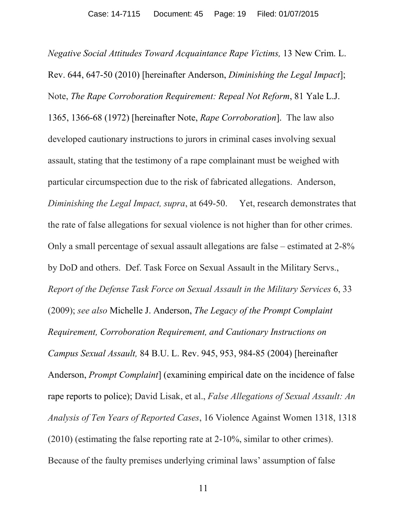*Negative Social Attitudes Toward Acquaintance Rape Victims,* 13 New Crim. L. Rev. 644, 647-50 (2010) [hereinafter Anderson, *Diminishing the Legal Impact*]; Note, *The Rape Corroboration Requirement: Repeal Not Reform*, 81 Yale L.J. 1365, 1366-68 (1972) [hereinafter Note, *Rape Corroboration*]. The law also developed cautionary instructions to jurors in criminal cases involving sexual assault, stating that the testimony of a rape complainant must be weighed with particular circumspection due to the risk of fabricated allegations. Anderson, *Diminishing the Legal Impact, supra*, at 649-50. Yet, research demonstrates that the rate of false allegations for sexual violence is not higher than for other crimes. Only a small percentage of sexual assault allegations are false – estimated at 2-8% by DoD and others. Def. Task Force on Sexual Assault in the Military Servs., *Report of the Defense Task Force on Sexual Assault in the Military Services* 6, 33 (2009); *see also* Michelle J. Anderson, *The Legacy of the Prompt Complaint Requirement, Corroboration Requirement, and Cautionary Instructions on Campus Sexual Assault,* 84 B.U. L. Rev. 945, 953, 984-85 (2004) [hereinafter Anderson, *Prompt Complaint*] (examining empirical date on the incidence of false rape reports to police); David Lisak, et al., *False Allegations of Sexual Assault: An Analysis of Ten Years of Reported Cases*, 16 Violence Against Women 1318, 1318 (2010) (estimating the false reporting rate at 2-10%, similar to other crimes). Because of the faulty premises underlying criminal laws' assumption of false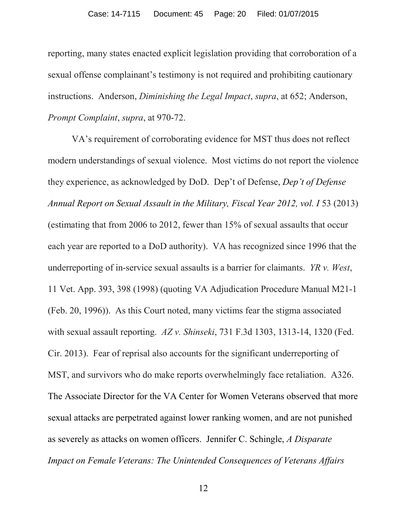reporting, many states enacted explicit legislation providing that corroboration of a sexual offense complainant's testimony is not required and prohibiting cautionary instructions. Anderson, *Diminishing the Legal Impact*, *supra*, at 652; Anderson, *Prompt Complaint*, *supra*, at 970-72.

VA's requirement of corroborating evidence for MST thus does not reflect modern understandings of sexual violence. Most victims do not report the violence they experience, as acknowledged by DoD. Dep't of Defense, *Dep't of Defense Annual Report on Sexual Assault in the Military, Fiscal Year 2012, vol. I* 53 (2013) (estimating that from 2006 to 2012, fewer than 15% of sexual assaults that occur each year are reported to a DoD authority). VA has recognized since 1996 that the underreporting of in-service sexual assaults is a barrier for claimants. *YR v. West*, 11 Vet. App. 393, 398 (1998) (quoting VA Adjudication Procedure Manual M21-1 (Feb. 20, 1996)). As this Court noted, many victims fear the stigma associated with sexual assault reporting. *AZ v. Shinseki*, 731 F.3d 1303, 1313-14, 1320 (Fed. Cir. 2013). Fear of reprisal also accounts for the significant underreporting of MST, and survivors who do make reports overwhelmingly face retaliation. A326. The Associate Director for the VA Center for Women Veterans observed that more sexual attacks are perpetrated against lower ranking women, and are not punished as severely as attacks on women officers. Jennifer C. Schingle, *A Disparate Impact on Female Veterans: The Unintended Consequences of Veterans Affairs*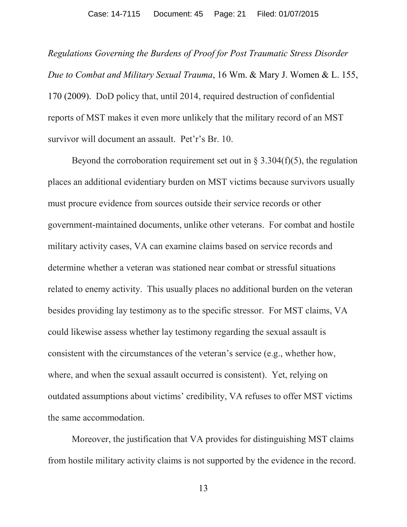*Regulations Governing the Burdens of Proof for Post Traumatic Stress Disorder Due to Combat and Military Sexual Trauma*, 16 Wm. & Mary J. Women & L. 155, 170 (2009). DoD policy that, until 2014, required destruction of confidential reports of MST makes it even more unlikely that the military record of an MST survivor will document an assault. Pet'r's Br. 10.

Beyond the corroboration requirement set out in  $\S 3.304(f)(5)$ , the regulation places an additional evidentiary burden on MST victims because survivors usually must procure evidence from sources outside their service records or other government-maintained documents, unlike other veterans. For combat and hostile military activity cases, VA can examine claims based on service records and determine whether a veteran was stationed near combat or stressful situations related to enemy activity. This usually places no additional burden on the veteran besides providing lay testimony as to the specific stressor. For MST claims, VA could likewise assess whether lay testimony regarding the sexual assault is consistent with the circumstances of the veteran's service (e.g., whether how, where, and when the sexual assault occurred is consistent). Yet, relying on outdated assumptions about victims' credibility, VA refuses to offer MST victims the same accommodation.

Moreover, the justification that VA provides for distinguishing MST claims from hostile military activity claims is not supported by the evidence in the record.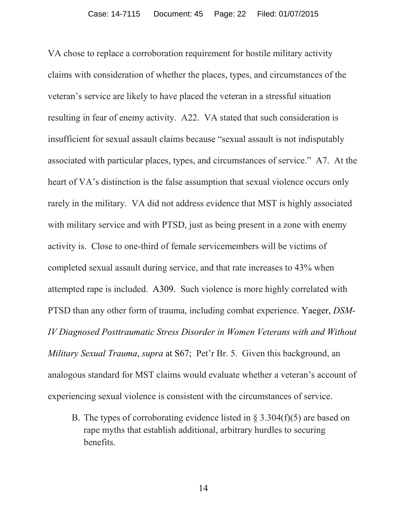VA chose to replace a corroboration requirement for hostile military activity claims with consideration of whether the places, types, and circumstances of the veteran's service are likely to have placed the veteran in a stressful situation resulting in fear of enemy activity. A22. VA stated that such consideration is insufficient for sexual assault claims because "sexual assault is not indisputably associated with particular places, types, and circumstances of service." A7. At the heart of VA's distinction is the false assumption that sexual violence occurs only rarely in the military. VA did not address evidence that MST is highly associated with military service and with PTSD, just as being present in a zone with enemy activity is. Close to one-third of female servicemembers will be victims of completed sexual assault during service, and that rate increases to 43% when attempted rape is included. A309. Such violence is more highly correlated with PTSD than any other form of trauma, including combat experience. Yaeger, *DSM-IV Diagnosed Posttraumatic Stress Disorder in Women Veterans with and Without Military Sexual Trauma*, *supra* at S67; Pet'r Br. 5. Given this background, an analogous standard for MST claims would evaluate whether a veteran's account of experiencing sexual violence is consistent with the circumstances of service.

<span id="page-21-0"></span>B. The types of corroborating evidence listed in  $\S 3.304(f)(5)$  are based on rape myths that establish additional, arbitrary hurdles to securing benefits.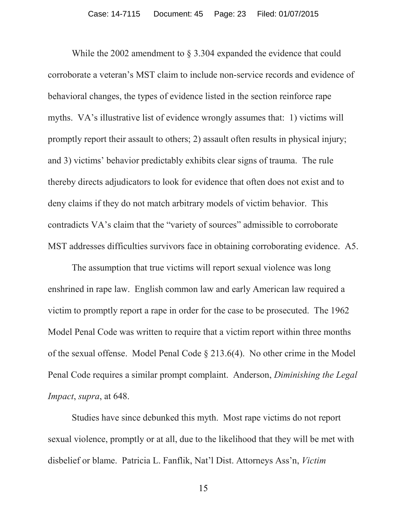While the 2002 amendment to § 3.304 expanded the evidence that could corroborate a veteran's MST claim to include non-service records and evidence of behavioral changes, the types of evidence listed in the section reinforce rape myths. VA's illustrative list of evidence wrongly assumes that: 1) victims will promptly report their assault to others; 2) assault often results in physical injury; and 3) victims' behavior predictably exhibits clear signs of trauma. The rule thereby directs adjudicators to look for evidence that often does not exist and to deny claims if they do not match arbitrary models of victim behavior. This contradicts VA's claim that the "variety of sources" admissible to corroborate MST addresses difficulties survivors face in obtaining corroborating evidence. A5.

The assumption that true victims will report sexual violence was long enshrined in rape law. English common law and early American law required a victim to promptly report a rape in order for the case to be prosecuted. The 1962 Model Penal Code was written to require that a victim report within three months of the sexual offense. Model Penal Code § 213.6(4). No other crime in the Model Penal Code requires a similar prompt complaint. Anderson, *Diminishing the Legal Impact*, *supra*, at 648.

Studies have since debunked this myth. Most rape victims do not report sexual violence, promptly or at all, due to the likelihood that they will be met with disbelief or blame. Patricia L. Fanflik, Nat'l Dist. Attorneys Ass'n, *Victim*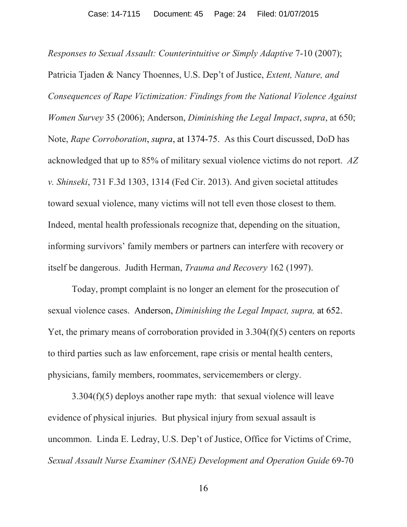*Responses to Sexual Assault: Counterintuitive or Simply Adaptive* 7-10 (2007); Patricia Tjaden & Nancy Thoennes, U.S. Dep't of Justice, *Extent, Nature, and Consequences of Rape Victimization: Findings from the National Violence Against Women Survey* 35 (2006); Anderson, *Diminishing the Legal Impact*, *supra*, at 650; Note, *Rape Corroboration*, *supra*, at 1374-75. As this Court discussed, DoD has acknowledged that up to 85% of military sexual violence victims do not report. *AZ v. Shinseki*, 731 F.3d 1303, 1314 (Fed Cir. 2013). And given societal attitudes toward sexual violence, many victims will not tell even those closest to them. Indeed, mental health professionals recognize that, depending on the situation, informing survivors' family members or partners can interfere with recovery or itself be dangerous. Judith Herman, *Trauma and Recovery* 162 (1997).

Today, prompt complaint is no longer an element for the prosecution of sexual violence cases. Anderson, *Diminishing the Legal Impact, supra,* at 652. Yet, the primary means of corroboration provided in 3.304(f)(5) centers on reports to third parties such as law enforcement, rape crisis or mental health centers, physicians, family members, roommates, servicemembers or clergy.

3.304(f)(5) deploys another rape myth: that sexual violence will leave evidence of physical injuries. But physical injury from sexual assault is uncommon. Linda E. Ledray, U.S. Dep't of Justice, Office for Victims of Crime, *Sexual Assault Nurse Examiner (SANE) Development and Operation Guide* 69-70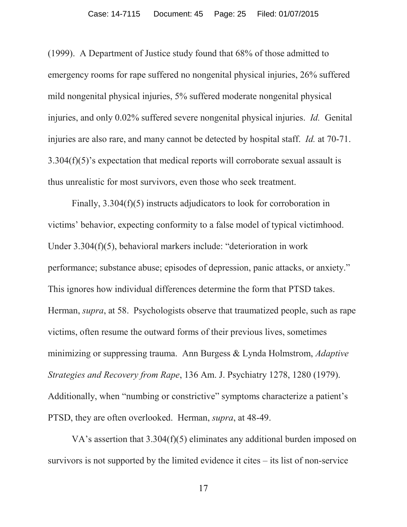(1999). A Department of Justice study found that 68% of those admitted to emergency rooms for rape suffered no nongenital physical injuries, 26% suffered mild nongenital physical injuries, 5% suffered moderate nongenital physical injuries, and only 0.02% suffered severe nongenital physical injuries. *Id.* Genital injuries are also rare, and many cannot be detected by hospital staff. *Id.* at 70-71. 3.304(f)(5)'s expectation that medical reports will corroborate sexual assault is thus unrealistic for most survivors, even those who seek treatment.

Finally, 3.304(f)(5) instructs adjudicators to look for corroboration in victims' behavior, expecting conformity to a false model of typical victimhood. Under 3.304(f)(5), behavioral markers include: "deterioration in work performance; substance abuse; episodes of depression, panic attacks, or anxiety." This ignores how individual differences determine the form that PTSD takes. Herman, *supra*, at 58. Psychologists observe that traumatized people, such as rape victims, often resume the outward forms of their previous lives, sometimes minimizing or suppressing trauma. Ann Burgess & Lynda Holmstrom, *Adaptive Strategies and Recovery from Rape*, 136 Am. J. Psychiatry 1278, 1280 (1979). Additionally, when "numbing or constrictive" symptoms characterize a patient's PTSD, they are often overlooked. Herman, *supra*, at 48-49.

VA's assertion that 3.304(f)(5) eliminates any additional burden imposed on survivors is not supported by the limited evidence it cites – its list of non-service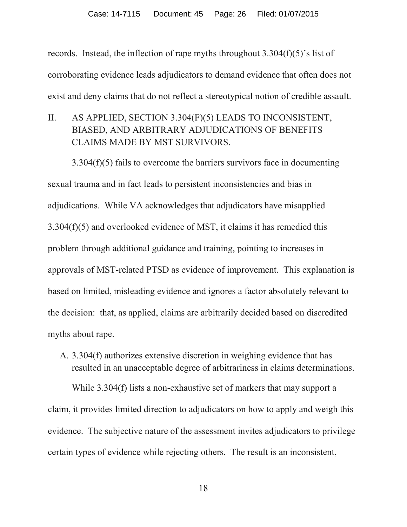records. Instead, the inflection of rape myths throughout 3.304(f)(5)'s list of corroborating evidence leads adjudicators to demand evidence that often does not exist and deny claims that do not reflect a stereotypical notion of credible assault.

<span id="page-25-0"></span>II. AS APPLIED, SECTION 3.304(F)(5) LEADS TO INCONSISTENT, BIASED, AND ARBITRARY ADJUDICATIONS OF BENEFITS CLAIMS MADE BY MST SURVIVORS.

3.304(f)(5) fails to overcome the barriers survivors face in documenting sexual trauma and in fact leads to persistent inconsistencies and bias in adjudications. While VA acknowledges that adjudicators have misapplied 3.304(f)(5) and overlooked evidence of MST, it claims it has remedied this problem through additional guidance and training, pointing to increases in approvals of MST-related PTSD as evidence of improvement. This explanation is based on limited, misleading evidence and ignores a factor absolutely relevant to the decision: that, as applied, claims are arbitrarily decided based on discredited myths about rape.

<span id="page-25-1"></span>A. 3.304(f) authorizes extensive discretion in weighing evidence that has resulted in an unacceptable degree of arbitrariness in claims determinations.

While 3.304(f) lists a non-exhaustive set of markers that may support a claim, it provides limited direction to adjudicators on how to apply and weigh this evidence. The subjective nature of the assessment invites adjudicators to privilege certain types of evidence while rejecting others. The result is an inconsistent,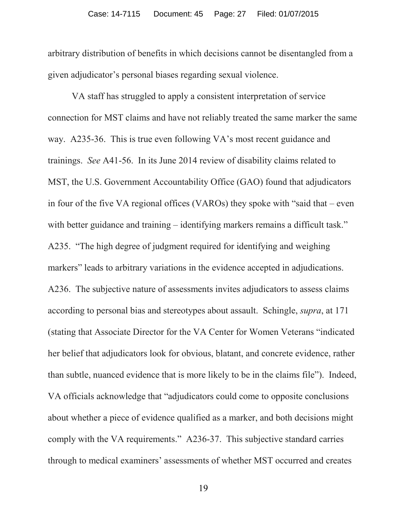arbitrary distribution of benefits in which decisions cannot be disentangled from a given adjudicator's personal biases regarding sexual violence.

VA staff has struggled to apply a consistent interpretation of service connection for MST claims and have not reliably treated the same marker the same way. A235-36. This is true even following VA's most recent guidance and trainings. *See* A41-56. In its June 2014 review of disability claims related to MST, the U.S. Government Accountability Office (GAO) found that adjudicators in four of the five VA regional offices (VAROs) they spoke with "said that – even with better guidance and training – identifying markers remains a difficult task." A235. "The high degree of judgment required for identifying and weighing markers" leads to arbitrary variations in the evidence accepted in adjudications. A236. The subjective nature of assessments invites adjudicators to assess claims according to personal bias and stereotypes about assault. Schingle, *supra*, at 171 (stating that Associate Director for the VA Center for Women Veterans "indicated her belief that adjudicators look for obvious, blatant, and concrete evidence, rather than subtle, nuanced evidence that is more likely to be in the claims file"). Indeed, VA officials acknowledge that "adjudicators could come to opposite conclusions about whether a piece of evidence qualified as a marker, and both decisions might comply with the VA requirements." A236-37. This subjective standard carries through to medical examiners' assessments of whether MST occurred and creates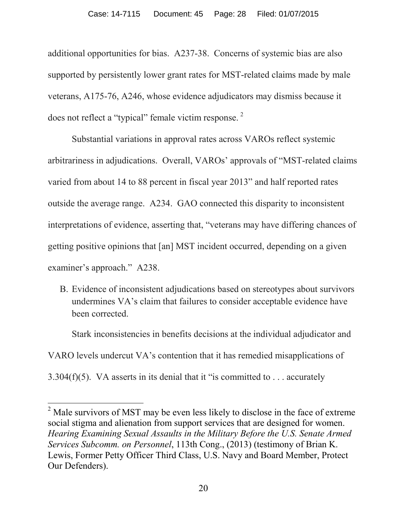additional opportunities for bias. A237-38. Concerns of systemic bias are also supported by persistently lower grant rates for MST-related claims made by male veterans, A175-76, A246, whose evidence adjudicators may dismiss because it does not reflect a "typical" female victim response.<sup>[2](#page-27-1)</sup>

Substantial variations in approval rates across VAROs reflect systemic arbitrariness in adjudications. Overall, VAROs' approvals of "MST-related claims varied from about 14 to 88 percent in fiscal year 2013" and half reported rates outside the average range. A234. GAO connected this disparity to inconsistent interpretations of evidence, asserting that, "veterans may have differing chances of getting positive opinions that [an] MST incident occurred, depending on a given examiner's approach." A238.

<span id="page-27-0"></span>B. Evidence of inconsistent adjudications based on stereotypes about survivors undermines VA's claim that failures to consider acceptable evidence have been corrected.

Stark inconsistencies in benefits decisions at the individual adjudicator and VARO levels undercut VA's contention that it has remedied misapplications of 3.304(f)(5). VA asserts in its denial that it "is committed to . . . accurately

 $\overline{\phantom{a}}$ 

<span id="page-27-1"></span> $2<sup>2</sup>$  Male survivors of MST may be even less likely to disclose in the face of extreme social stigma and alienation from support services that are designed for women. *Hearing Examining Sexual Assaults in the Military Before the U.S. Senate Armed Services Subcomm. on Personnel*, 113th Cong., (2013) (testimony of Brian K. Lewis, Former Petty Officer Third Class, U.S. Navy and Board Member, Protect Our Defenders).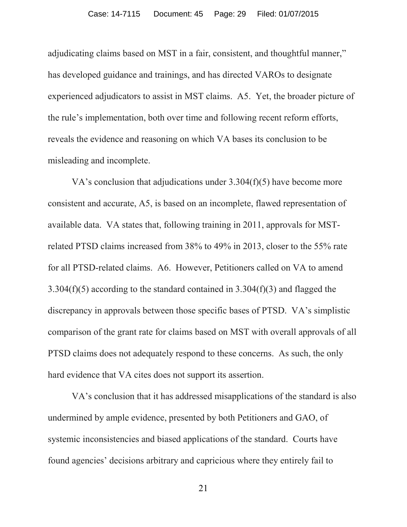adjudicating claims based on MST in a fair, consistent, and thoughtful manner," has developed guidance and trainings, and has directed VAROs to designate experienced adjudicators to assist in MST claims. A5. Yet, the broader picture of the rule's implementation, both over time and following recent reform efforts, reveals the evidence and reasoning on which VA bases its conclusion to be misleading and incomplete.

VA's conclusion that adjudications under 3.304(f)(5) have become more consistent and accurate, A5, is based on an incomplete, flawed representation of available data. VA states that, following training in 2011, approvals for MSTrelated PTSD claims increased from 38% to 49% in 2013, closer to the 55% rate for all PTSD-related claims. A6. However, Petitioners called on VA to amend 3.304(f)(5) according to the standard contained in 3.304(f)(3) and flagged the discrepancy in approvals between those specific bases of PTSD. VA's simplistic comparison of the grant rate for claims based on MST with overall approvals of all PTSD claims does not adequately respond to these concerns. As such, the only hard evidence that VA cites does not support its assertion.

VA's conclusion that it has addressed misapplications of the standard is also undermined by ample evidence, presented by both Petitioners and GAO, of systemic inconsistencies and biased applications of the standard. Courts have found agencies' decisions arbitrary and capricious where they entirely fail to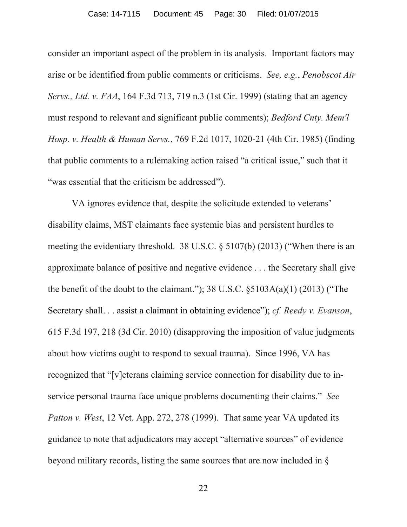consider an important aspect of the problem in its analysis. Important factors may arise or be identified from public comments or criticisms. *See, e.g.*, *Penobscot Air Servs., Ltd. v. FAA*, 164 F.3d 713, 719 n.3 (1st Cir. 1999) (stating that an agency must respond to relevant and significant public comments); *Bedford Cnty. Mem'l Hosp. v. Health & Human Servs.*, 769 F.2d 1017, 1020-21 (4th Cir. 1985) (finding that public comments to a rulemaking action raised "a critical issue," such that it "was essential that the criticism be addressed").

VA ignores evidence that, despite the solicitude extended to veterans' disability claims, MST claimants face systemic bias and persistent hurdles to meeting the evidentiary threshold. 38 U.S.C. § 5107(b) (2013) ("When there is an approximate balance of positive and negative evidence . . . the Secretary shall give the benefit of the doubt to the claimant.");  $38 \text{ U.S.C. }$   $\S5103A(a)(1)$  (2013) ("The Secretary shall. . . assist a claimant in obtaining evidence"); *cf. Reedy v. Evanson*, 615 F.3d 197, 218 (3d Cir. 2010) (disapproving the imposition of value judgments about how victims ought to respond to sexual trauma). Since 1996, VA has recognized that "[v]eterans claiming service connection for disability due to inservice personal trauma face unique problems documenting their claims." *See Patton v. West*, 12 Vet. App. 272, 278 (1999). That same year VA updated its guidance to note that adjudicators may accept "alternative sources" of evidence beyond military records, listing the same sources that are now included in §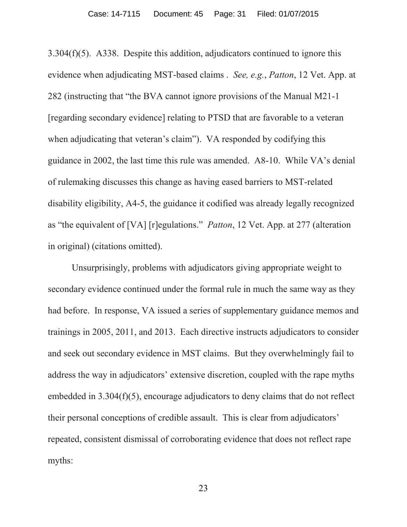3.304(f)(5). A338. Despite this addition, adjudicators continued to ignore this evidence when adjudicating MST-based claims . *See, e.g.*, *Patton*, 12 Vet. App. at 282 (instructing that "the BVA cannot ignore provisions of the Manual M21-1 [regarding secondary evidence] relating to PTSD that are favorable to a veteran when adjudicating that veteran's claim"). VA responded by codifying this guidance in 2002, the last time this rule was amended. A8-10. While VA's denial of rulemaking discusses this change as having eased barriers to MST-related disability eligibility, A4-5, the guidance it codified was already legally recognized as "the equivalent of [VA] [r]egulations." *Patton*, 12 Vet. App. at 277 (alteration in original) (citations omitted).

Unsurprisingly, problems with adjudicators giving appropriate weight to secondary evidence continued under the formal rule in much the same way as they had before. In response, VA issued a series of supplementary guidance memos and trainings in 2005, 2011, and 2013. Each directive instructs adjudicators to consider and seek out secondary evidence in MST claims. But they overwhelmingly fail to address the way in adjudicators' extensive discretion, coupled with the rape myths embedded in 3.304(f)(5), encourage adjudicators to deny claims that do not reflect their personal conceptions of credible assault. This is clear from adjudicators' repeated, consistent dismissal of corroborating evidence that does not reflect rape myths: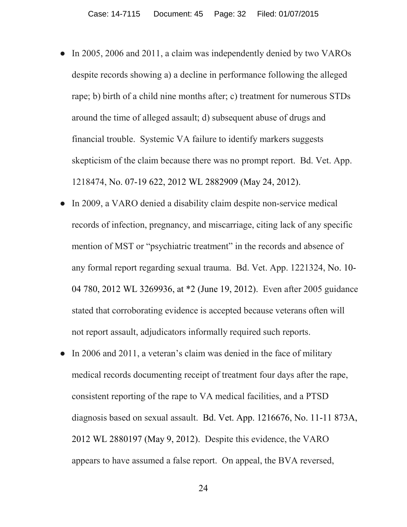- In 2005, 2006 and 2011, a claim was independently denied by two VAROs despite records showing a) a decline in performance following the alleged rape; b) birth of a child nine months after; c) treatment for numerous STDs around the time of alleged assault; d) subsequent abuse of drugs and financial trouble. Systemic VA failure to identify markers suggests skepticism of the claim because there was no prompt report. Bd. Vet. App. 1218474, No. 07-19 622, 2012 WL 2882909 (May 24, 2012).
- Ɣ In 2009, a VARO denied a disability claim despite non-service medical records of infection, pregnancy, and miscarriage, citing lack of any specific mention of MST or "psychiatric treatment" in the records and absence of any formal report regarding sexual trauma. Bd. Vet. App. 1221324, No. 10- 04 780, 2012 WL 3269936, at \*2 (June 19, 2012). Even after 2005 guidance stated that corroborating evidence is accepted because veterans often will not report assault, adjudicators informally required such reports.
- In 2006 and 2011, a veteran's claim was denied in the face of military medical records documenting receipt of treatment four days after the rape, consistent reporting of the rape to VA medical facilities, and a PTSD diagnosis based on sexual assault. Bd. Vet. App. 1216676, No. 11-11 873A, 2012 WL 2880197 (May 9, 2012). Despite this evidence, the VARO appears to have assumed a false report. On appeal, the BVA reversed,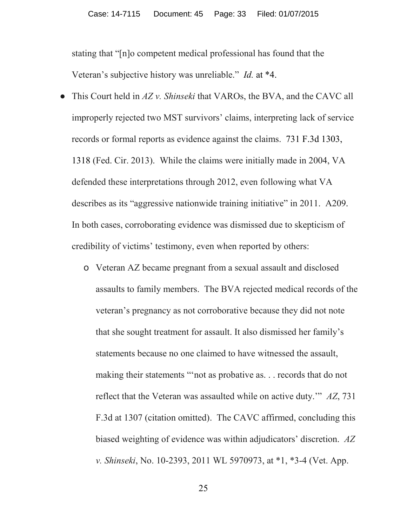stating that "[n]o competent medical professional has found that the Veteran's subjective history was unreliable." *Id.* at \*4.

- Ɣ This Court held in *AZ v. Shinseki* that VAROs, the BVA, and the CAVC all improperly rejected two MST survivors' claims, interpreting lack of service records or formal reports as evidence against the claims. 731 F.3d 1303, 1318 (Fed. Cir. 2013). While the claims were initially made in 2004, VA defended these interpretations through 2012, even following what VA describes as its "aggressive nationwide training initiative" in 2011. A209. In both cases, corroborating evidence was dismissed due to skepticism of credibility of victims' testimony, even when reported by others:
	- o Veteran AZ became pregnant from a sexual assault and disclosed assaults to family members. The BVA rejected medical records of the veteran's pregnancy as not corroborative because they did not note that she sought treatment for assault. It also dismissed her family's statements because no one claimed to have witnessed the assault, making their statements "'not as probative as. . . records that do not reflect that the Veteran was assaulted while on active duty.'" *AZ*, 731 F.3d at 1307 (citation omitted). The CAVC affirmed, concluding this biased weighting of evidence was within adjudicators' discretion. *AZ v. Shinseki*, No. 10-2393, 2011 WL 5970973, at \*1, \*3-4 (Vet. App.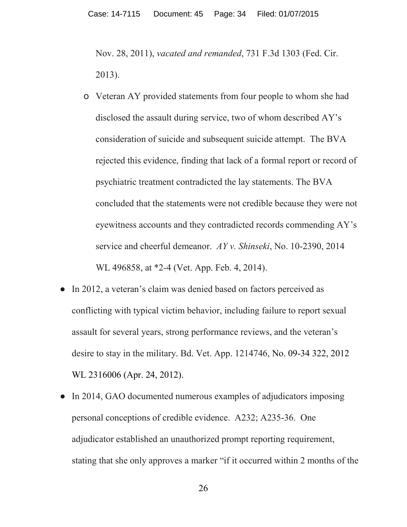Nov. 28, 2011), *vacated and remanded*, 731 F.3d 1303 (Fed. Cir. 2013).

- o Veteran AY provided statements from four people to whom she had disclosed the assault during service, two of whom described AY's consideration of suicide and subsequent suicide attempt. The BVA rejected this evidence, finding that lack of a formal report or record of psychiatric treatment contradicted the lay statements. The BVA concluded that the statements were not credible because they were not eyewitness accounts and they contradicted records commending AY's service and cheerful demeanor. *AY v. Shinseki*, No. 10-2390, 2014 WL 496858, at \*2-4 (Vet. App. Feb. 4, 2014).
- In 2012, a veteran's claim was denied based on factors perceived as conflicting with typical victim behavior, including failure to report sexual assault for several years, strong performance reviews, and the veteran's desire to stay in the military. Bd. Vet. App. 1214746, No. 09-34 322, 2012 WL 2316006 (Apr. 24, 2012).
- In 2014, GAO documented numerous examples of adjudicators imposing personal conceptions of credible evidence. A232; A235-36. One adjudicator established an unauthorized prompt reporting requirement, stating that she only approves a marker "if it occurred within 2 months of the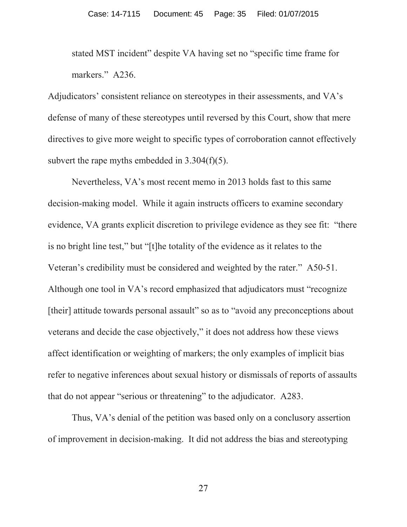stated MST incident" despite VA having set no "specific time frame for markers." A236.

Adjudicators' consistent reliance on stereotypes in their assessments, and VA's defense of many of these stereotypes until reversed by this Court, show that mere directives to give more weight to specific types of corroboration cannot effectively subvert the rape myths embedded in 3.304(f)(5).

Nevertheless, VA's most recent memo in 2013 holds fast to this same decision-making model. While it again instructs officers to examine secondary evidence, VA grants explicit discretion to privilege evidence as they see fit: "there is no bright line test," but "[t]he totality of the evidence as it relates to the Veteran's credibility must be considered and weighted by the rater." A50-51. Although one tool in VA's record emphasized that adjudicators must "recognize [their] attitude towards personal assault" so as to "avoid any preconceptions about veterans and decide the case objectively," it does not address how these views affect identification or weighting of markers; the only examples of implicit bias refer to negative inferences about sexual history or dismissals of reports of assaults that do not appear "serious or threatening" to the adjudicator. A283.

Thus, VA's denial of the petition was based only on a conclusory assertion of improvement in decision-making. It did not address the bias and stereotyping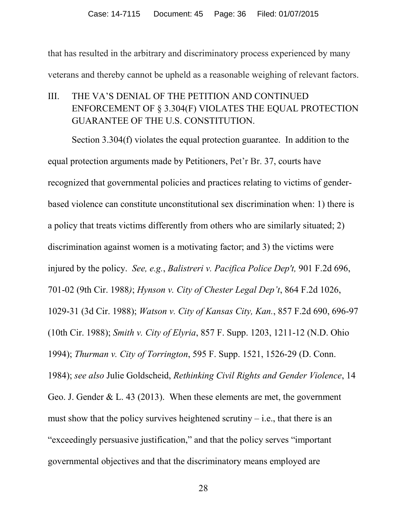that has resulted in the arbitrary and discriminatory process experienced by many veterans and thereby cannot be upheld as a reasonable weighing of relevant factors.

<span id="page-35-0"></span>III. THE VA'S DENIAL OF THE PETITION AND CONTINUED ENFORCEMENT OF § 3.304(F) VIOLATES THE EQUAL PROTECTION GUARANTEE OF THE U.S. CONSTITUTION.

Section 3.304(f) violates the equal protection guarantee. In addition to the equal protection arguments made by Petitioners, Pet'r Br. 37, courts have recognized that governmental policies and practices relating to victims of genderbased violence can constitute unconstitutional sex discrimination when: 1) there is a policy that treats victims differently from others who are similarly situated; 2) discrimination against women is a motivating factor; and 3) the victims were injured by the policy. *See, e.g.*, *Balistreri v. Pacifica Police Dep't,* 901 F.2d 696, 701-02 (9th Cir. 1988*)*; *Hynson v. City of Chester Legal Dep't*, 864 F.2d 1026, 1029-31 (3d Cir. 1988); *Watson v. City of Kansas City, Kan.*, 857 F.2d 690, 696-97 (10th Cir. 1988); *Smith v. City of Elyria*, 857 F. Supp. 1203, 1211-12 (N.D. Ohio 1994); *Thurman v. City of Torrington*, 595 F. Supp. 1521, 1526-29 (D. Conn. 1984); *see also* Julie Goldscheid, *Rethinking Civil Rights and Gender Violence*, 14 Geo. J. Gender & L. 43 (2013). When these elements are met, the government must show that the policy survives heightened scrutiny  $-$  i.e., that there is an "exceedingly persuasive justification," and that the policy serves "important governmental objectives and that the discriminatory means employed are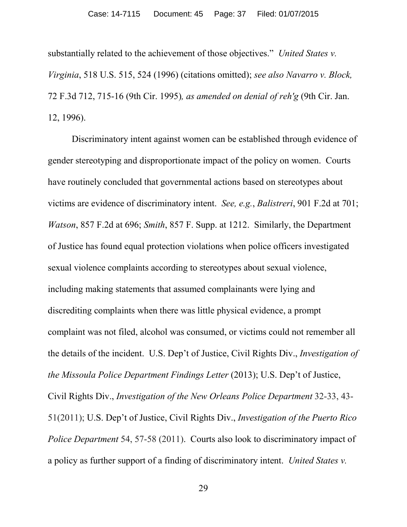substantially related to the achievement of those objectives." *United States v. Virginia*, 518 U.S. 515, 524 (1996) (citations omitted); *see also Navarro v. Block,*  72 F.3d 712, 715-16 (9th Cir. 1995)*, as amended on denial of reh'g* (9th Cir. Jan. 12, 1996).

Discriminatory intent against women can be established through evidence of gender stereotyping and disproportionate impact of the policy on women. Courts have routinely concluded that governmental actions based on stereotypes about victims are evidence of discriminatory intent. *See, e.g.*, *Balistreri*, 901 F.2d at 701; *Watson*, 857 F.2d at 696; *Smith*, 857 F. Supp. at 1212. Similarly, the Department of Justice has found equal protection violations when police officers investigated sexual violence complaints according to stereotypes about sexual violence, including making statements that assumed complainants were lying and discrediting complaints when there was little physical evidence, a prompt complaint was not filed, alcohol was consumed, or victims could not remember all the details of the incident. U.S. Dep't of Justice, Civil Rights Div., *Investigation of the Missoula Police Department Findings Letter* (2013); U.S. Dep't of Justice, Civil Rights Div., *Investigation of the New Orleans Police Department* 32-33, 43- 51(2011); U.S. Dep't of Justice, Civil Rights Div., *Investigation of the Puerto Rico Police Department* 54, 57-58 (2011). Courts also look to discriminatory impact of a policy as further support of a finding of discriminatory intent. *United States v.*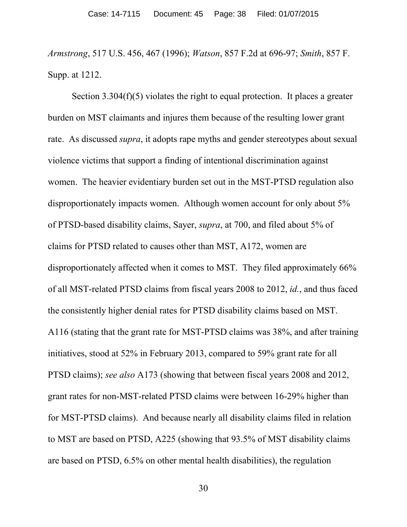*Armstrong*, 517 U.S. 456, 467 (1996); *Watson*, 857 F.2d at 696-97; *Smith*, 857 F. Supp. at 1212.

Section 3.304(f)(5) violates the right to equal protection. It places a greater burden on MST claimants and injures them because of the resulting lower grant rate. As discussed *supra*, it adopts rape myths and gender stereotypes about sexual violence victims that support a finding of intentional discrimination against women. The heavier evidentiary burden set out in the MST-PTSD regulation also disproportionately impacts women. Although women account for only about 5% of PTSD-based disability claims, Sayer, *supra*, at 700, and filed about 5% of claims for PTSD related to causes other than MST, A172, women are disproportionately affected when it comes to MST. They filed approximately 66% of all MST-related PTSD claims from fiscal years 2008 to 2012, *id.*, and thus faced the consistently higher denial rates for PTSD disability claims based on MST. A116 (stating that the grant rate for MST-PTSD claims was 38%, and after training initiatives, stood at 52% in February 2013, compared to 59% grant rate for all PTSD claims); *see also* A173 (showing that between fiscal years 2008 and 2012, grant rates for non-MST-related PTSD claims were between 16-29% higher than for MST-PTSD claims). And because nearly all disability claims filed in relation to MST are based on PTSD, A225 (showing that 93.5% of MST disability claims are based on PTSD, 6.5% on other mental health disabilities), the regulation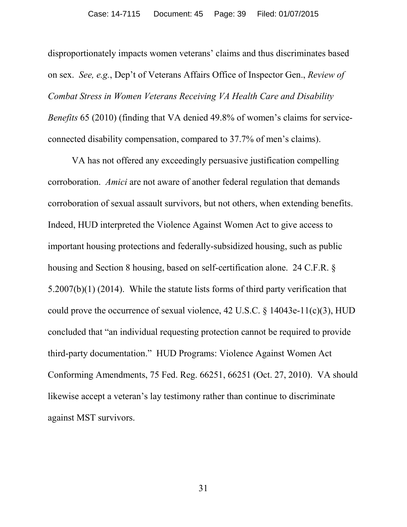disproportionately impacts women veterans' claims and thus discriminates based on sex. *See, e.g.*, Dep't of Veterans Affairs Office of Inspector Gen., *Review of Combat Stress in Women Veterans Receiving VA Health Care and Disability Benefits* 65 (2010) (finding that VA denied 49.8% of women's claims for serviceconnected disability compensation, compared to 37.7% of men's claims).

VA has not offered any exceedingly persuasive justification compelling corroboration. *Amici* are not aware of another federal regulation that demands corroboration of sexual assault survivors, but not others, when extending benefits. Indeed, HUD interpreted the Violence Against Women Act to give access to important housing protections and federally-subsidized housing, such as public housing and Section 8 housing, based on self-certification alone. 24 C.F.R. § 5.2007(b)(1) (2014). While the statute lists forms of third party verification that could prove the occurrence of sexual violence, 42 U.S.C. § 14043e-11(c)(3), HUD concluded that "an individual requesting protection cannot be required to provide third-party documentation." HUD Programs: Violence Against Women Act Conforming Amendments, 75 Fed. Reg. 66251, 66251 (Oct. 27, 2010). VA should likewise accept a veteran's lay testimony rather than continue to discriminate against MST survivors.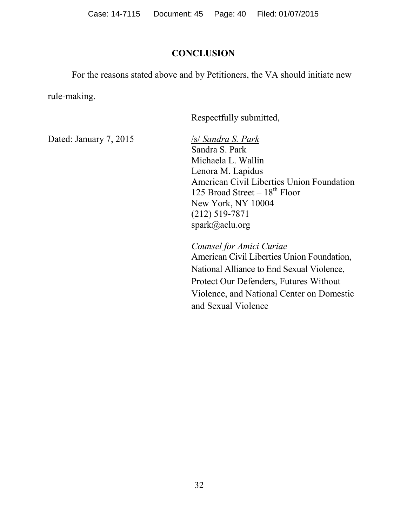## **CONCLUSION**

For the reasons stated above and by Petitioners, the VA should initiate new

rule-making.

Respectfully submitted,

Dated: January 7, 2015 /s/ *Sandra S. Park* 

Sandra S. Park Michaela L. Wallin Lenora M. Lapidus American Civil Liberties Union Foundation 125 Broad Street  $-18^{th}$  Floor New York, NY 10004 (212) 519-7871 spark@aclu.org

*Counsel for Amici Curiae*  American Civil Liberties Union Foundation, National Alliance to End Sexual Violence, Protect Our Defenders, Futures Without Violence, and National Center on Domestic and Sexual Violence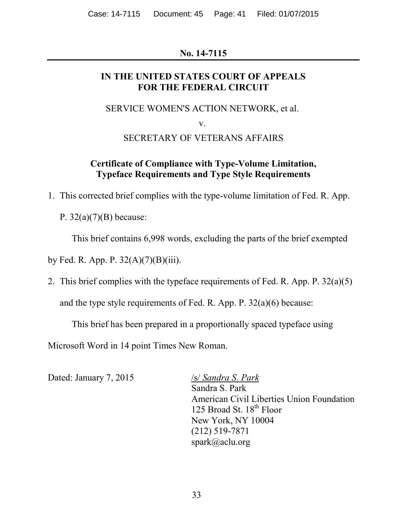# **No. 14-7115**

# **IN THE UNITED STATES COURT OF APPEALS FOR THE FEDERAL CIRCUIT**

SERVICE WOMEN'S ACTION NETWORK, et al.

v.

# SECRETARY OF VETERANS AFFAIRS

# **Certificate of Compliance with Type-Volume Limitation, Typeface Requirements and Type Style Requirements**

1. This corrected brief complies with the type-volume limitation of Fed. R. App.

P.  $32(a)(7)(B)$  because:

This brief contains 6,998 words, excluding the parts of the brief exempted

by Fed. R. App. P.  $32(A)(7)(B)(iii)$ .

2. This brief complies with the typeface requirements of Fed. R. App. P. 32(a)(5)

and the type style requirements of Fed. R. App. P. 32(a)(6) because:

This brief has been prepared in a proportionally spaced typeface using

Microsoft Word in 14 point Times New Roman.

Dated: January 7, 2015 /s/ *Sandra S. Park* 

Sandra S. Park American Civil Liberties Union Foundation 125 Broad St.  $18^{th}$  Floor New York, NY 10004 (212) 519-7871 spark@aclu.org